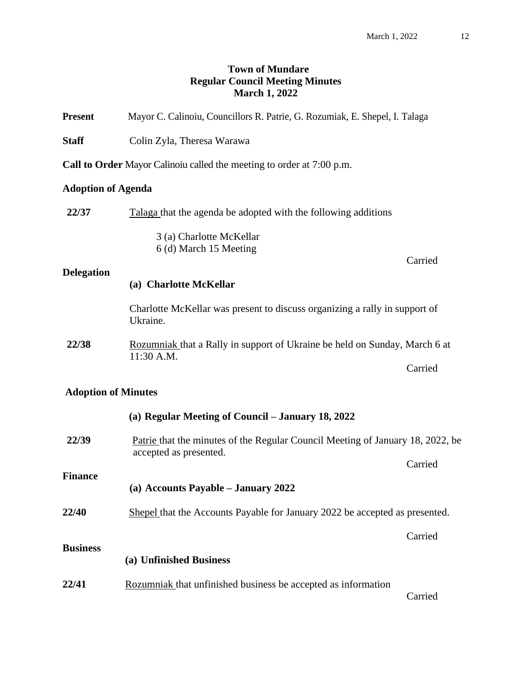## **Town of Mundare Regular Council Meeting Minutes March 1, 2022**

| <b>Present</b>             | Mayor C. Calinoiu, Councillors R. Patrie, G. Rozumiak, E. Shepel, I. Talaga              |         |
|----------------------------|------------------------------------------------------------------------------------------|---------|
| <b>Staff</b>               | Colin Zyla, Theresa Warawa                                                               |         |
|                            | Call to Order Mayor Calinoiu called the meeting to order at 7:00 p.m.                    |         |
| <b>Adoption of Agenda</b>  |                                                                                          |         |
| 22/37                      | Talaga that the agenda be adopted with the following additions                           |         |
|                            | 3 (a) Charlotte McKellar<br>6 (d) March 15 Meeting                                       | Carried |
| <b>Delegation</b>          | (a) Charlotte McKellar                                                                   |         |
|                            | Charlotte McKellar was present to discuss organizing a rally in support of<br>Ukraine.   |         |
| 22/38                      | Rozumniak that a Rally in support of Ukraine be held on Sunday, March 6 at<br>11:30 A.M. |         |
|                            |                                                                                          | Carried |
| <b>Adoption of Minutes</b> |                                                                                          |         |
|                            | (a) Regular Meeting of Council – January 18, 2022                                        |         |
| 22/39                      | Patrie that the minutes of the Regular Council Meeting of January 18, 2022, be           |         |
|                            | accepted as presented.                                                                   | Carried |
| <b>Finance</b>             | (a) Accounts Payable - January 2022                                                      |         |
| 22/40                      | Shepel that the Accounts Payable for January 2022 be accepted as presented.              |         |
|                            |                                                                                          | Carried |
| <b>Business</b>            | (a) Unfinished Business                                                                  |         |
| 22/41                      | Rozumniak that unfinished business be accepted as information                            | Carried |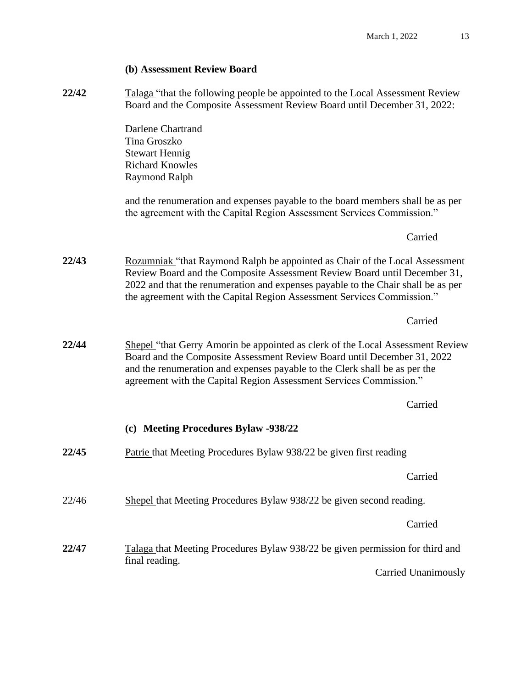## **(b) Assessment Review Board**

| 22/42 | Talaga "that the following people be appointed to the Local Assessment Review<br>Board and the Composite Assessment Review Board until December 31, 2022:                                                                                                                                                              |                            |
|-------|------------------------------------------------------------------------------------------------------------------------------------------------------------------------------------------------------------------------------------------------------------------------------------------------------------------------|----------------------------|
|       | Darlene Chartrand                                                                                                                                                                                                                                                                                                      |                            |
|       | Tina Groszko                                                                                                                                                                                                                                                                                                           |                            |
|       | <b>Stewart Hennig</b>                                                                                                                                                                                                                                                                                                  |                            |
|       | <b>Richard Knowles</b><br><b>Raymond Ralph</b>                                                                                                                                                                                                                                                                         |                            |
|       |                                                                                                                                                                                                                                                                                                                        |                            |
|       | and the renumeration and expenses payable to the board members shall be as per<br>the agreement with the Capital Region Assessment Services Commission."                                                                                                                                                               |                            |
|       |                                                                                                                                                                                                                                                                                                                        | Carried                    |
| 22/43 | Rozumniak "that Raymond Ralph be appointed as Chair of the Local Assessment<br>Review Board and the Composite Assessment Review Board until December 31,<br>2022 and that the renumeration and expenses payable to the Chair shall be as per<br>the agreement with the Capital Region Assessment Services Commission." |                            |
|       |                                                                                                                                                                                                                                                                                                                        | Carried                    |
| 22/44 | Shepel "that Gerry Amorin be appointed as clerk of the Local Assessment Review<br>Board and the Composite Assessment Review Board until December 31, 2022<br>and the renumeration and expenses payable to the Clerk shall be as per the<br>agreement with the Capital Region Assessment Services Commission."          |                            |
|       |                                                                                                                                                                                                                                                                                                                        | Carried                    |
|       | (c) Meeting Procedures Bylaw -938/22                                                                                                                                                                                                                                                                                   |                            |
| 22/45 | Patrie that Meeting Procedures Bylaw 938/22 be given first reading                                                                                                                                                                                                                                                     |                            |
|       |                                                                                                                                                                                                                                                                                                                        | Carried                    |
| 22/46 | Shepel that Meeting Procedures Bylaw 938/22 be given second reading.                                                                                                                                                                                                                                                   |                            |
|       |                                                                                                                                                                                                                                                                                                                        | Carried                    |
| 22/47 | Talaga that Meeting Procedures Bylaw 938/22 be given permission for third and<br>final reading.                                                                                                                                                                                                                        |                            |
|       |                                                                                                                                                                                                                                                                                                                        | <b>Carried Unanimously</b> |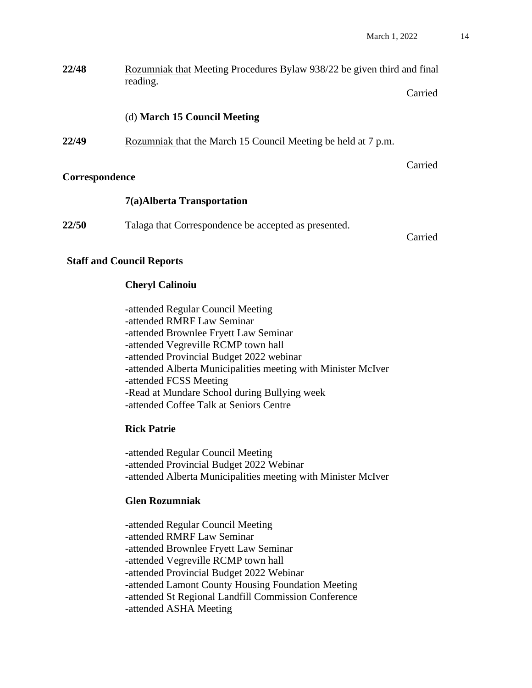Carried

| 22/48          | Rozumniak that Meeting Procedures Bylaw 938/22 be given third and final<br>reading. |         |
|----------------|-------------------------------------------------------------------------------------|---------|
|                |                                                                                     | Carried |
|                | (d) March 15 Council Meeting                                                        |         |
| 22/49          | Rozumniak that the March 15 Council Meeting be held at 7 p.m.                       |         |
| Correspondence |                                                                                     | Carried |
|                | 7(a)Alberta Transportation                                                          |         |

# **Staff and Council Reports**

## **Cheryl Calinoiu**

**22/50** Talaga that Correspondence be accepted as presented.

-attended Regular Council Meeting -attended RMRF Law Seminar -attended Brownlee Fryett Law Seminar -attended Vegreville RCMP town hall -attended Provincial Budget 2022 webinar -attended Alberta Municipalities meeting with Minister McIver -attended FCSS Meeting -Read at Mundare School during Bullying week -attended Coffee Talk at Seniors Centre

## **Rick Patrie**

**-**attended Regular Council Meeting **-**attended Provincial Budget 2022 Webinar **-**attended Alberta Municipalities meeting with Minister McIver

## **Glen Rozumniak**

-attended Regular Council Meeting -attended RMRF Law Seminar -attended Brownlee Fryett Law Seminar -attended Vegreville RCMP town hall -attended Provincial Budget 2022 Webinar -attended Lamont County Housing Foundation Meeting -attended St Regional Landfill Commission Conference -attended ASHA Meeting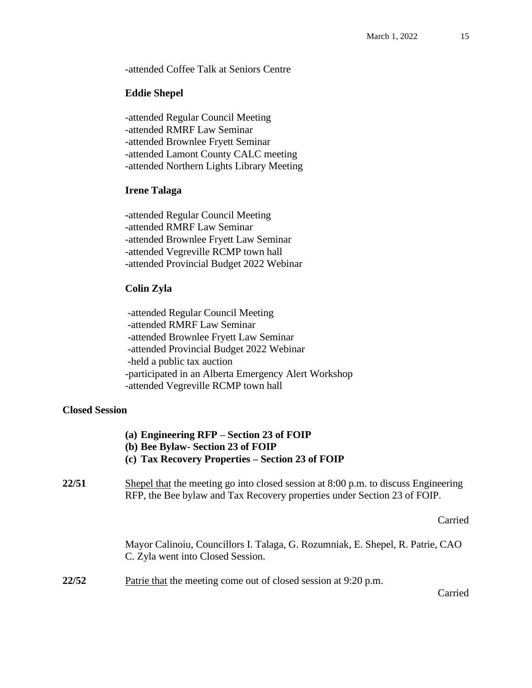-attended Coffee Talk at Seniors Centre

#### **Eddie Shepel**

-attended Regular Council Meeting -attended RMRF Law Seminar -attended Brownlee Fryett Seminar -attended Lamont County CALC meeting -attended Northern Lights Library Meeting

#### **Irene Talaga**

**-**attended Regular Council Meeting -attended RMRF Law Seminar -attended Brownlee Fryett Law Seminar -attended Vegreville RCMP town hall -attended Provincial Budget 2022 Webinar

#### **Colin Zyla**

-attended Regular Council Meeting -attended RMRF Law Seminar -attended Brownlee Fryett Law Seminar -attended Provincial Budget 2022 Webinar -held a public tax auction -participated in an Alberta Emergency Alert Workshop -attended Vegreville RCMP town hall

#### **Closed Session**

|       | (a) Engineering $RFP - Section 23$ of FOIP<br>(b) Bee Bylaw- Section 23 of FOIP<br>(c) Tax Recovery Properties - Section 23 of FOIP                            |
|-------|----------------------------------------------------------------------------------------------------------------------------------------------------------------|
| 22/51 | Shepel that the meeting go into closed session at 8:00 p.m. to discuss Engineering<br>RFP, the Bee bylaw and Tax Recovery properties under Section 23 of FOIP. |
|       | Carried                                                                                                                                                        |
|       | Mayor Calinoiu, Councillors I. Talaga, G. Rozumniak, E. Shepel, R. Patrie, CAO<br>C. Zyla went into Closed Session.                                            |
| 22/52 | Patrie that the meeting come out of closed session at 9:20 p.m.<br>Carried                                                                                     |